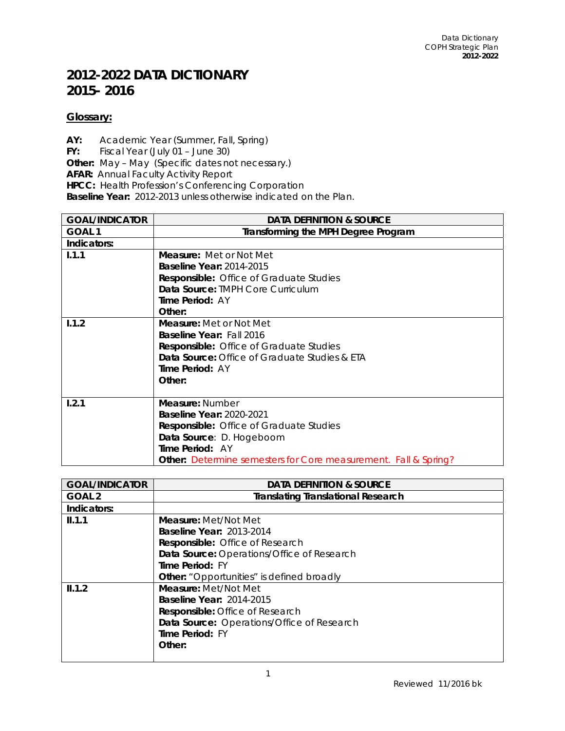## **2012-2022 DATA DICTIONARY 2015- 2016**

## **Glossary:**

**AY:** Academic Year (Summer, Fall, Spring) **FY:** Fiscal Year (July 01 – June 30) **Other:** May – May (Specific dates not necessary.) **AFAR:** Annual Faculty Activity Report **HPCC:** Health Profession's Conferencing Corporation **Baseline Year:** 2012-2013 unless otherwise indicated on the Plan.

| <b>GOAL/INDICATOR</b> | <b>DATA DEFINITION &amp; SOURCE</b>                                    |
|-----------------------|------------------------------------------------------------------------|
| GOAL <sub>1</sub>     | <b>Transforming the MPH Degree Program</b>                             |
| Indicators:           |                                                                        |
| 1.1.1                 | <b>Measure:</b> Met or Not Met                                         |
|                       | <b>Baseline Year: 2014-2015</b>                                        |
|                       | <b>Responsible:</b> Office of Graduate Studies                         |
|                       | Data Source: TMPH Core Curriculum                                      |
|                       | <b>Time Period: AY</b>                                                 |
|                       | Other:                                                                 |
| 1.1.2                 | <b>Measure:</b> Met or Not Met                                         |
|                       | <b>Baseline Year: Fall 2016</b>                                        |
|                       | <b>Responsible:</b> Office of Graduate Studies                         |
|                       | <b>Data Source:</b> Office of Graduate Studies & ETA                   |
|                       | <b>Time Period: AY</b>                                                 |
|                       | Other:                                                                 |
|                       |                                                                        |
| 1.2.1                 | Measure: Number                                                        |
|                       | <b>Baseline Year: 2020-2021</b>                                        |
|                       | <b>Responsible:</b> Office of Graduate Studies                         |
|                       | Data Source: D. Hogeboom                                               |
|                       | Time Period: AY                                                        |
|                       | <b>Other:</b> Determine semesters for Core measurement. Fall & Spring? |

| <b>GOAL/INDICATOR</b> | <b>DATA DEFINITION &amp; SOURCE</b>              |
|-----------------------|--------------------------------------------------|
| GOAL <sub>2</sub>     | <b>Translating Translational Research</b>        |
| Indicators:           |                                                  |
| II.1.1                | <b>Measure:</b> Met/Not Met                      |
|                       | <b>Baseline Year: 2013-2014</b>                  |
|                       | Responsible: Office of Research                  |
|                       | Data Source: Operations/Office of Research       |
|                       | Time Period: FY                                  |
|                       | <b>Other:</b> "Opportunities" is defined broadly |
| II.1.2                | Measure: Met/Not Met                             |
|                       | <b>Baseline Year: 2014-2015</b>                  |
|                       | <b>Responsible:</b> Office of Research           |
|                       | Data Source: Operations/Office of Research       |
|                       | Time Period: FY                                  |
|                       | Other:                                           |
|                       |                                                  |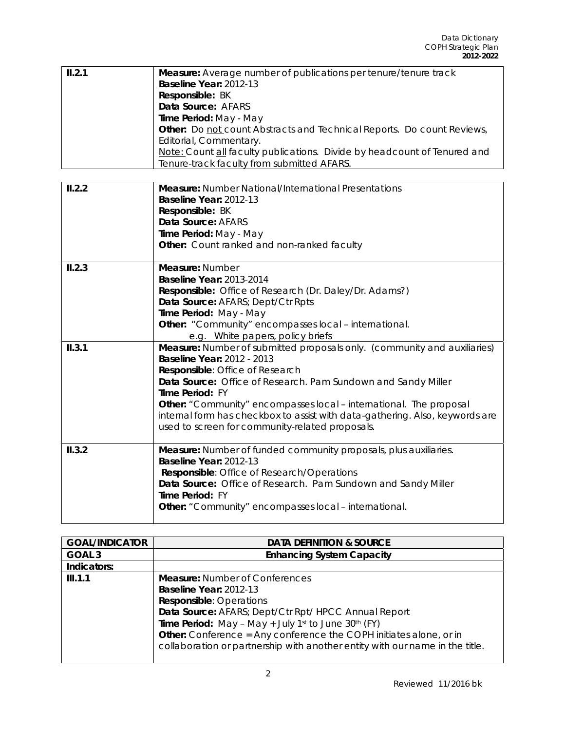| II.2.1 | <b>Measure:</b> Average number of publications per tenure/tenure track        |
|--------|-------------------------------------------------------------------------------|
|        | Baseline Year: 2012-13                                                        |
|        | Responsible: BK                                                               |
|        | Data Source: AFARS                                                            |
|        | Time Period: May - May                                                        |
|        | <b>Other:</b> Do not count Abstracts and Technical Reports. Do count Reviews, |
|        | Editorial, Commentary.                                                        |
|        | Note: Count all faculty publications. Divide by headcount of Tenured and      |
|        | Tenure-track faculty from submitted AFARS.                                    |

| II.2.2 | <b>Measure:</b> Number National/International Presentations                  |
|--------|------------------------------------------------------------------------------|
|        | Baseline Year: 2012-13                                                       |
|        | Responsible: BK                                                              |
|        | Data Source: AFARS                                                           |
|        | Time Period: May - May                                                       |
|        | Other: Count ranked and non-ranked faculty                                   |
| II.2.3 | Measure: Number                                                              |
|        | <b>Baseline Year: 2013-2014</b>                                              |
|        | Responsible: Office of Research (Dr. Daley/Dr. Adams?)                       |
|        | Data Source: AFARS; Dept/Ctr Rpts                                            |
|        | Time Period: May - May                                                       |
|        | Other: "Community" encompasses local - international.                        |
|        | e.g. White papers, policy briefs                                             |
| II.3.1 | Measure: Number of submitted proposals only. (community and auxiliaries)     |
|        | <b>Baseline Year: 2012 - 2013</b>                                            |
|        | Responsible: Office of Research                                              |
|        | Data Source: Office of Research. Pam Sundown and Sandy Miller                |
|        | Time Period: FY                                                              |
|        | <b>Other:</b> "Community" encompasses local – international. The proposal    |
|        | internal form has checkbox to assist with data-gathering. Also, keywords are |
|        | used to screen for community-related proposals.                              |
|        |                                                                              |
| II.3.2 | <b>Measure:</b> Number of funded community proposals, plus auxiliaries.      |
|        | Baseline Year: 2012-13                                                       |
|        | Responsible: Office of Research/Operations                                   |
|        | Data Source: Office of Research. Pam Sundown and Sandy Miller                |
|        | Time Period: FY                                                              |
|        | <b>Other:</b> "Community" encompasses local – international.                 |
|        |                                                                              |

| <b>GOAL/INDICATOR</b> | <b>DATA DEFINITION &amp; SOURCE</b>                                          |
|-----------------------|------------------------------------------------------------------------------|
| GOAL <sub>3</sub>     | <b>Enhancing System Capacity</b>                                             |
| Indicators:           |                                                                              |
| III.1.1               | <b>Measure: Number of Conferences</b>                                        |
|                       | Baseline Year: 2012-13                                                       |
|                       | <b>Responsible: Operations</b>                                               |
|                       | Data Source: AFARS; Dept/Ctr Rpt/ HPCC Annual Report                         |
|                       | Time Period: May - May + July 1st to June 30th (FY)                          |
|                       | <b>Other:</b> Conference = Any conference the COPH initiates alone, or in    |
|                       | collaboration or partnership with another entity with our name in the title. |
|                       |                                                                              |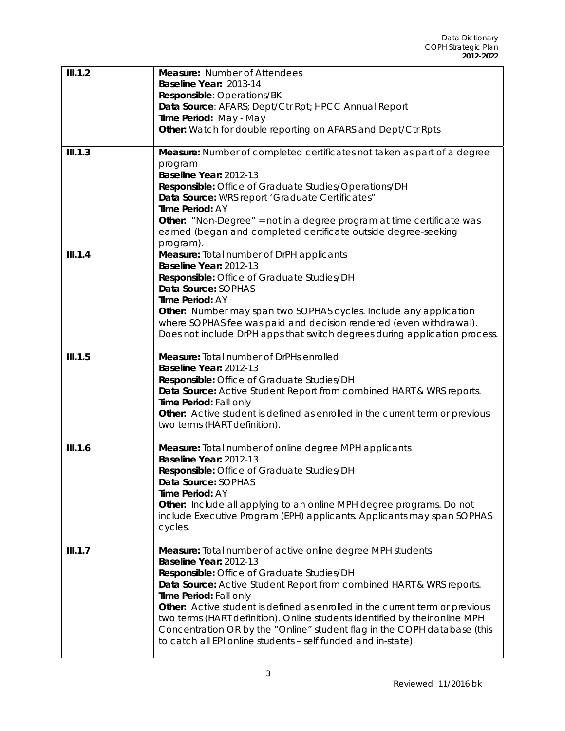| III.1.2 | <b>Measure: Number of Attendees</b><br>Baseline Year: 2013-14<br>Responsible: Operations/BK<br>Data Source: AFARS; Dept/Ctr Rpt; HPCC Annual Report<br>Time Period: May - May<br>Other: Watch for double reporting on AFARS and Dept/Ctr Rpts                                                                                                                                                                                                                                                                                                   |
|---------|-------------------------------------------------------------------------------------------------------------------------------------------------------------------------------------------------------------------------------------------------------------------------------------------------------------------------------------------------------------------------------------------------------------------------------------------------------------------------------------------------------------------------------------------------|
| III.1.3 | Measure: Number of completed certificates not taken as part of a degree<br>program<br>Baseline Year: 2012-13<br>Responsible: Office of Graduate Studies/Operations/DH<br>Data Source: WRS report 'Graduate Certificates"<br>Time Period: AY<br><b>Other:</b> "Non-Degree" = not in a degree program at time certificate was<br>earned (began and completed certificate outside degree-seeking<br>program).                                                                                                                                      |
| III.1.4 | Measure: Total number of DrPH applicants<br>Baseline Year: 2012-13<br>Responsible: Office of Graduate Studies/DH<br>Data Source: SOPHAS<br>Time Period: AY<br>Other: Number may span two SOPHAS cycles. Include any application<br>where SOPHAS fee was paid and decision rendered (even withdrawal).<br>Does not include DrPH apps that switch degrees during application process.                                                                                                                                                             |
| III.1.5 | Measure: Total number of DrPHs enrolled<br>Baseline Year: 2012-13<br>Responsible: Office of Graduate Studies/DH<br>Data Source: Active Student Report from combined HART & WRS reports.<br>Time Period: Fall only<br>Other: Active student is defined as enrolled in the current term or previous<br>two terms (HART definition).                                                                                                                                                                                                               |
| III.1.6 | Measure: Total number of online degree MPH applicants<br>Baseline Year: 2012-13<br>Responsible: Office of Graduate Studies/DH<br>Data Source: SOPHAS<br>Time Period: AY<br><b>Other:</b> Include all applying to an online MPH degree programs. Do not<br>include Executive Program (EPH) applicants. Applicants may span SOPHAS<br>cycles.                                                                                                                                                                                                     |
| III.1.7 | Measure: Total number of active online degree MPH students<br>Baseline Year: 2012-13<br>Responsible: Office of Graduate Studies/DH<br>Data Source: Active Student Report from combined HART & WRS reports.<br>Time Period: Fall only<br>Other: Active student is defined as enrolled in the current term or previous<br>two terms (HART definition). Online students identified by their online MPH<br>Concentration OR by the "Online" student flag in the COPH database (this<br>to catch all EPI online students - self funded and in-state) |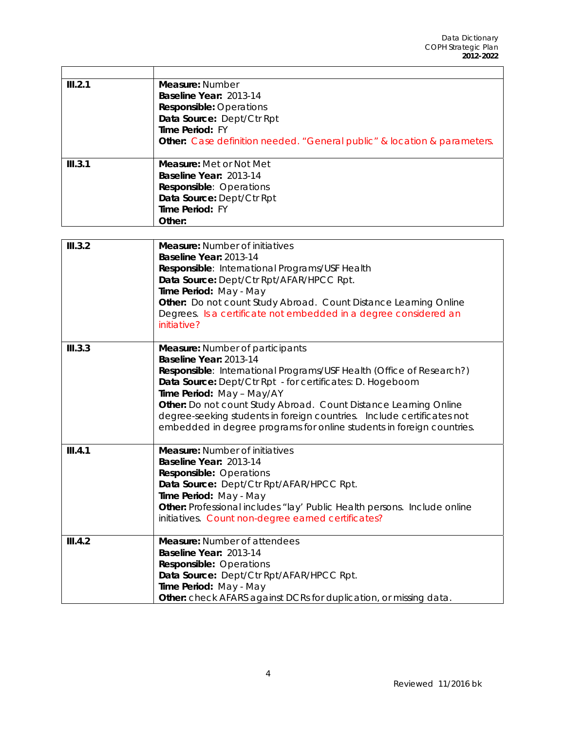| III.2.1 | Measure: Number<br>Baseline Year: 2013-14<br><b>Responsible: Operations</b><br>Data Source: Dept/Ctr Rpt<br>Time Period: FY<br><b>Other:</b> Case definition needed. "General public" & location & parameters.                                                                                                                                                                                                                                            |
|---------|-----------------------------------------------------------------------------------------------------------------------------------------------------------------------------------------------------------------------------------------------------------------------------------------------------------------------------------------------------------------------------------------------------------------------------------------------------------|
| III.3.1 | <b>Measure:</b> Met or Not Met<br>Baseline Year: 2013-14<br>Responsible: Operations<br>Data Source: Dept/Ctr Rpt<br>Time Period: FY<br>Other:                                                                                                                                                                                                                                                                                                             |
| III.3.2 | <b>Measure: Number of initiatives</b><br>Baseline Year: 2013-14<br>Responsible: International Programs/USF Health<br>Data Source: Dept/Ctr Rpt/AFAR/HPCC Rpt.<br>Time Period: May - May<br>Other: Do not count Study Abroad. Count Distance Learning Online<br>Degrees. Is a certificate not embedded in a degree considered an<br>initiative?                                                                                                            |
| III.3.3 | <b>Measure:</b> Number of participants<br>Baseline Year: 2013-14<br>Responsible: International Programs/USF Health (Office of Research?)<br>Data Source: Dept/Ctr Rpt - for certificates: D. Hogeboom<br>Time Period: May - May/AY<br>Other: Do not count Study Abroad. Count Distance Learning Online<br>degree-seeking students in foreign countries. Include certificates not<br>embedded in degree programs for online students in foreign countries. |
| III.4.1 | <b>Measure: Number of initiatives</b><br>Baseline Year: 2013-14<br><b>Responsible: Operations</b><br>Data Source: Dept/Ctr Rpt/AFAR/HPCC Rpt.<br>Time Period: May - May<br>Other: Professional includes "lay' Public Health persons. Include online<br>initiatives. Count non-degree earned certificates?                                                                                                                                                 |
| III.4.2 | <b>Measure:</b> Number of attendees<br>Baseline Year: 2013-14<br><b>Responsible: Operations</b><br>Data Source: Dept/Ctr Rpt/AFAR/HPCC Rpt.<br>Time Period: May - May<br>Other: check AFARS against DCRs for duplication, or missing data.                                                                                                                                                                                                                |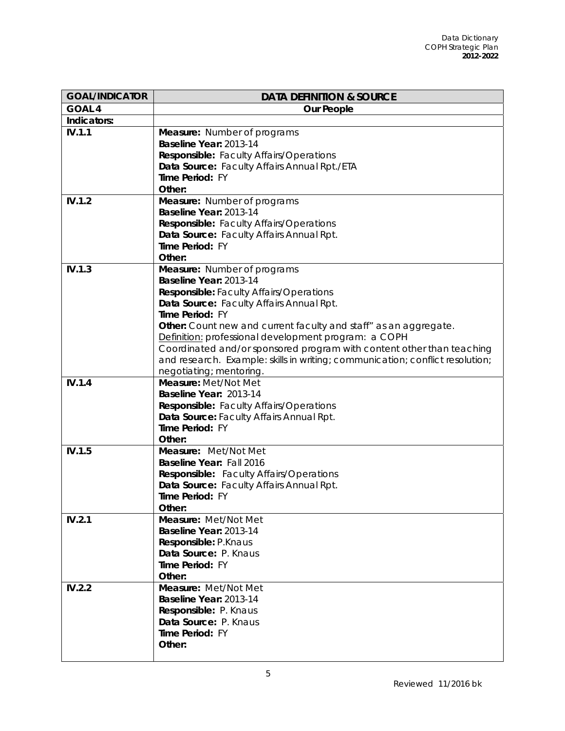| <b>GOAL/INDICATOR</b> | <b>DATA DEFINITION &amp; SOURCE</b>                                           |
|-----------------------|-------------------------------------------------------------------------------|
| <b>GOAL 4</b>         | <b>Our People</b>                                                             |
| Indicators:           |                                                                               |
| IV.1.1                | Measure: Number of programs                                                   |
|                       | Baseline Year: 2013-14                                                        |
|                       | Responsible: Faculty Affairs/Operations                                       |
|                       | Data Source: Faculty Affairs Annual Rpt./ETA                                  |
|                       | Time Period: FY                                                               |
|                       | Other:                                                                        |
| IV.1.2                | Measure: Number of programs                                                   |
|                       | Baseline Year: 2013-14                                                        |
|                       | Responsible: Faculty Affairs/Operations                                       |
|                       | Data Source: Faculty Affairs Annual Rpt.                                      |
|                       | Time Period: FY                                                               |
|                       | Other:                                                                        |
| IV.1.3                | Measure: Number of programs                                                   |
|                       | Baseline Year: 2013-14                                                        |
|                       | <b>Responsible:</b> Faculty Affairs/Operations                                |
|                       | Data Source: Faculty Affairs Annual Rpt.                                      |
|                       | Time Period: FY                                                               |
|                       | Other: Count new and current faculty and staff" as an aggregate.              |
|                       | Definition: professional development program: a COPH                          |
|                       | Coordinated and/or sponsored program with content other than teaching         |
|                       | and research. Example: skills in writing; communication; conflict resolution; |
|                       | negotiating; mentoring.                                                       |
| IV.1.4                | Measure: Met/Not Met                                                          |
|                       | Baseline Year: 2013-14                                                        |
|                       | Responsible: Faculty Affairs/Operations                                       |
|                       | Data Source: Faculty Affairs Annual Rpt.<br>Time Period: FY                   |
|                       | Other:                                                                        |
| IV.1.5                | Measure: Met/Not Met                                                          |
|                       | Baseline Year: Fall 2016                                                      |
|                       | Responsible: Faculty Affairs/Operations                                       |
|                       | Data Source: Faculty Affairs Annual Rpt.                                      |
|                       | Time Period: FY                                                               |
|                       | Other:                                                                        |
| IV.2.1                | Measure: Met/Not Met                                                          |
|                       | Baseline Year: 2013-14                                                        |
|                       | Responsible: P.Knaus                                                          |
|                       | Data Source: P. Knaus                                                         |
|                       | Time Period: FY                                                               |
|                       | Other:                                                                        |
| IV.2.2                | Measure: Met/Not Met                                                          |
|                       | Baseline Year: 2013-14                                                        |
|                       | Responsible: P. Knaus                                                         |
|                       | Data Source: P. Knaus                                                         |
|                       | Time Period: FY                                                               |
|                       | Other:                                                                        |
|                       |                                                                               |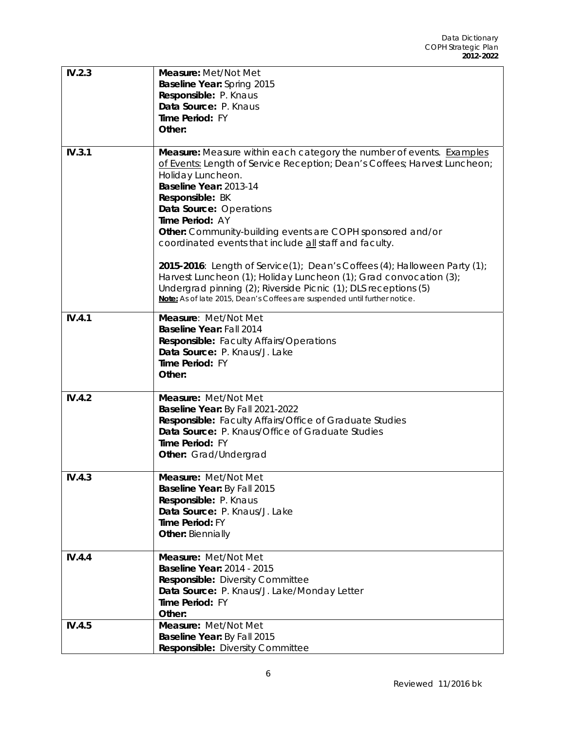| IV.2.3 | Measure: Met/Not Met                                                                                                                              |
|--------|---------------------------------------------------------------------------------------------------------------------------------------------------|
|        | <b>Baseline Year: Spring 2015</b><br>Responsible: P. Knaus                                                                                        |
|        | Data Source: P. Knaus                                                                                                                             |
|        | Time Period: FY                                                                                                                                   |
|        | Other:                                                                                                                                            |
|        |                                                                                                                                                   |
| IV.3.1 | Measure: Measure within each category the number of events. Examples<br>of Events: Length of Service Reception; Dean's Coffees; Harvest Luncheon; |
|        | Holiday Luncheon.                                                                                                                                 |
|        | Baseline Year: 2013-14                                                                                                                            |
|        | Responsible: BK                                                                                                                                   |
|        | Data Source: Operations                                                                                                                           |
|        | Time Period: AY                                                                                                                                   |
|        | Other: Community-building events are COPH sponsored and/or<br>coordinated events that include all staff and faculty.                              |
|        | 2015-2016: Length of Service(1); Dean's Coffees (4); Halloween Party (1);                                                                         |
|        | Harvest Luncheon (1); Holiday Luncheon (1); Grad convocation (3);                                                                                 |
|        | Undergrad pinning (2); Riverside Picnic (1); DLS receptions (5)                                                                                   |
|        | Note: As of late 2015, Dean's Coffees are suspended until further notice.                                                                         |
| IV.4.1 | Measure: Met/Not Met                                                                                                                              |
|        | Baseline Year: Fall 2014                                                                                                                          |
|        | <b>Responsible:</b> Faculty Affairs/Operations                                                                                                    |
|        | Data Source: P. Knaus/J. Lake<br>Time Period: FY                                                                                                  |
|        | Other:                                                                                                                                            |
|        |                                                                                                                                                   |
| IV.4.2 | Measure: Met/Not Met                                                                                                                              |
|        | Baseline Year: By Fall 2021-2022                                                                                                                  |
|        | Responsible: Faculty Affairs/Office of Graduate Studies<br>Data Source: P. Knaus/Office of Graduate Studies                                       |
|        | Time Period: FY                                                                                                                                   |
|        | Other: Grad/Undergrad                                                                                                                             |
|        |                                                                                                                                                   |
| IV.4.3 | <b>Measure: Met/Not Met</b>                                                                                                                       |
|        | Baseline Year: By Fall 2015<br>Responsible: P. Knaus                                                                                              |
|        | Data Source: P. Knaus/J. Lake                                                                                                                     |
|        | Time Period: FY                                                                                                                                   |
|        | <b>Other: Biennially</b>                                                                                                                          |
| IV.4.4 | Measure: Met/Not Met                                                                                                                              |
|        | <b>Baseline Year: 2014 - 2015</b>                                                                                                                 |
|        | <b>Responsible:</b> Diversity Committee                                                                                                           |
|        | Data Source: P. Knaus/J. Lake/Monday Letter<br>Time Period: FY                                                                                    |
|        | Other:                                                                                                                                            |
| IV.4.5 | Measure: Met/Not Met                                                                                                                              |
|        | Baseline Year: By Fall 2015                                                                                                                       |
|        | Responsible: Diversity Committee                                                                                                                  |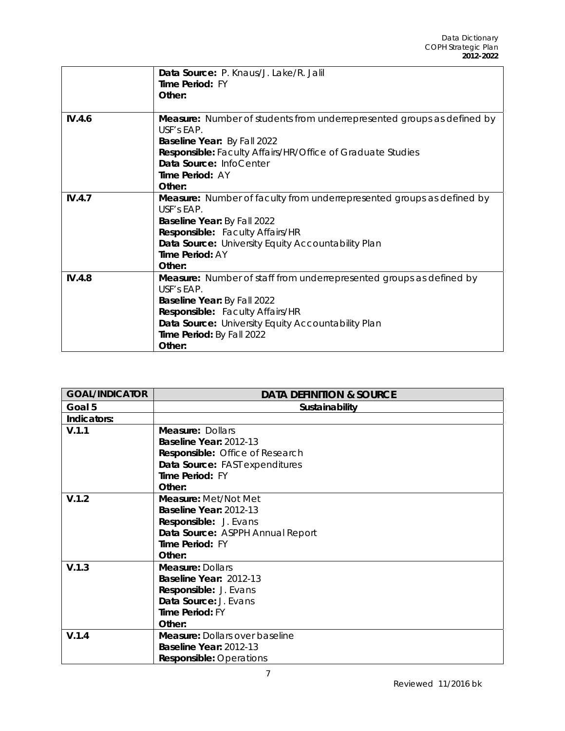|        | Data Source: P. Knaus/J. Lake/R. Jalil<br>Time Period: FY                            |
|--------|--------------------------------------------------------------------------------------|
|        | Other:                                                                               |
|        |                                                                                      |
| IV.4.6 | Measure: Number of students from underrepresented groups as defined by<br>USE's FAP. |
|        | <b>Baseline Year: By Fall 2022</b>                                                   |
|        | <b>Responsible:</b> Faculty Affairs/HR/Office of Graduate Studies                    |
|        | Data Source: InfoCenter                                                              |
|        | Time Period: AY                                                                      |
|        | Other:                                                                               |
| IV.4.7 | Measure: Number of faculty from underrepresented groups as defined by                |
|        | USF's EAP.                                                                           |
|        | Baseline Year: By Fall 2022                                                          |
|        | Responsible: Faculty Affairs/HR                                                      |
|        | Data Source: University Equity Accountability Plan                                   |
|        | Time Period: AY                                                                      |
|        | Other:                                                                               |
| IV.4.8 | <b>Measure:</b> Number of staff from underrepresented groups as defined by           |
|        | USF's EAP.                                                                           |
|        | Baseline Year: By Fall 2022                                                          |
|        | Responsible: Faculty Affairs/HR                                                      |
|        | Data Source: University Equity Accountability Plan                                   |
|        | Time Period: By Fall 2022                                                            |
|        | Other:                                                                               |

| <b>GOAL/INDICATOR</b> | <b>DATA DEFINITION &amp; SOURCE</b>   |
|-----------------------|---------------------------------------|
| Goal 5                | Sustainability                        |
| Indicators:           |                                       |
| V.1.1                 | <b>Measure: Dollars</b>               |
|                       | Baseline Year: 2012-13                |
|                       | Responsible: Office of Research       |
|                       | Data Source: FAST expenditures        |
|                       | Time Period: FY                       |
|                       | Other:                                |
| V.1.2                 | Measure: Met/Not Met                  |
|                       | Baseline Year: 2012-13                |
|                       | Responsible: J. Evans                 |
|                       | Data Source: ASPPH Annual Report      |
|                       | Time Period: FY                       |
|                       | Other:                                |
| V.1.3                 | <b>Measure: Dollars</b>               |
|                       | Baseline Year: 2012-13                |
|                       | Responsible: J. Evans                 |
|                       | Data Source: J. Evans                 |
|                       | Time Period: FY                       |
|                       | Other:                                |
| V.1.4                 | <b>Measure: Dollars over baseline</b> |
|                       | Baseline Year: 2012-13                |
|                       | <b>Responsible: Operations</b>        |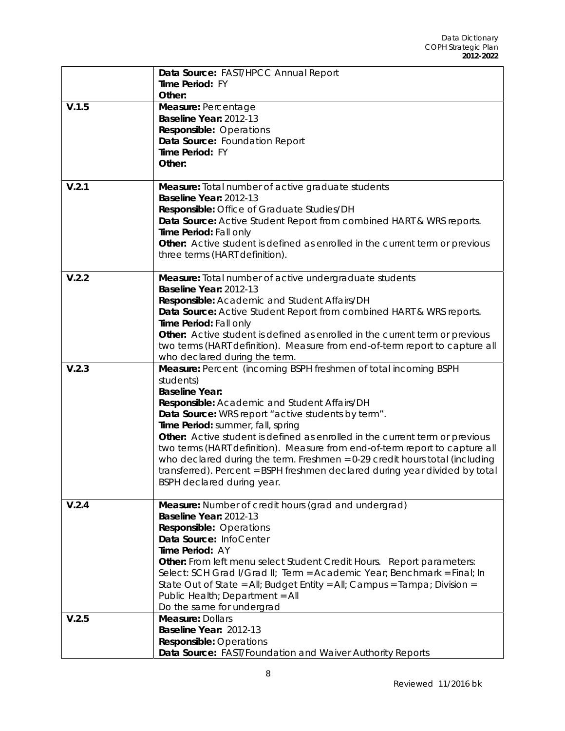|       | Data Source: FAST/HPCC Annual Report                                                                                                             |
|-------|--------------------------------------------------------------------------------------------------------------------------------------------------|
|       | Time Period: FY                                                                                                                                  |
|       | Other:                                                                                                                                           |
| V.1.5 | Measure: Percentage                                                                                                                              |
|       | Baseline Year: 2012-13                                                                                                                           |
|       | <b>Responsible: Operations</b>                                                                                                                   |
|       | Data Source: Foundation Report                                                                                                                   |
|       | Time Period: FY                                                                                                                                  |
|       | Other:                                                                                                                                           |
|       |                                                                                                                                                  |
| V.2.1 | Measure: Total number of active graduate students                                                                                                |
|       | Baseline Year: 2012-13                                                                                                                           |
|       | Responsible: Office of Graduate Studies/DH                                                                                                       |
|       | Data Source: Active Student Report from combined HART & WRS reports.                                                                             |
|       | Time Period: Fall only                                                                                                                           |
|       | <b>Other:</b> Active student is defined as enrolled in the current term or previous                                                              |
|       | three terms (HART definition).                                                                                                                   |
| V.2.2 | Measure: Total number of active undergraduate students                                                                                           |
|       | Baseline Year: 2012-13                                                                                                                           |
|       | Responsible: Academic and Student Affairs/DH                                                                                                     |
|       | Data Source: Active Student Report from combined HART & WRS reports.                                                                             |
|       | Time Period: Fall only                                                                                                                           |
|       | Other: Active student is defined as enrolled in the current term or previous                                                                     |
|       | two terms (HART definition). Measure from end-of-term report to capture all                                                                      |
|       | who declared during the term.                                                                                                                    |
| V.2.3 | Measure: Percent (incoming BSPH freshmen of total incoming BSPH                                                                                  |
|       |                                                                                                                                                  |
|       | students)                                                                                                                                        |
|       | <b>Baseline Year:</b>                                                                                                                            |
|       | Responsible: Academic and Student Affairs/DH                                                                                                     |
|       | Data Source: WRS report "active students by term".                                                                                               |
|       | Time Period: summer, fall, spring                                                                                                                |
|       | Other: Active student is defined as enrolled in the current term or previous                                                                     |
|       | two terms (HART definition). Measure from end-of-term report to capture all                                                                      |
|       | who declared during the term. Freshmen = 0-29 credit hours total (including                                                                      |
|       | transferred). Percent = BSPH freshmen declared during year divided by total                                                                      |
|       | BSPH declared during year.                                                                                                                       |
|       |                                                                                                                                                  |
| V.2.4 | Measure: Number of credit hours (grad and undergrad)                                                                                             |
|       | Baseline Year: 2012-13                                                                                                                           |
|       | <b>Responsible: Operations</b><br>Data Source: InfoCenter                                                                                        |
|       | Time Period: AY                                                                                                                                  |
|       |                                                                                                                                                  |
|       | Other: From left menu select Student Credit Hours. Report parameters:<br>Select: SCH Grad I/Grad II; Term = Academic Year; Benchmark = Final; In |
|       | State Out of State = All; Budget Entity = All; Campus = Tampa; Division =                                                                        |
|       | Public Health; Department = All                                                                                                                  |
|       | Do the same for undergrad                                                                                                                        |
| V.2.5 | <b>Measure: Dollars</b>                                                                                                                          |
|       | Baseline Year: 2012-13                                                                                                                           |
|       | <b>Responsible: Operations</b><br>Data Source: FAST/Foundation and Waiver Authority Reports                                                      |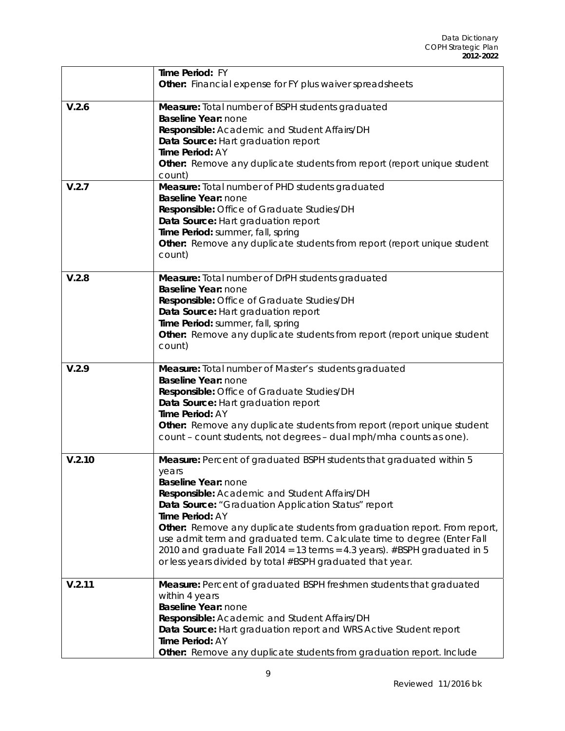|        | Time Period: FY<br>Other: Financial expense for FY plus waiver spreadsheets                                                                                                                                                                                                                                                                                                                                                                                                                                                     |
|--------|---------------------------------------------------------------------------------------------------------------------------------------------------------------------------------------------------------------------------------------------------------------------------------------------------------------------------------------------------------------------------------------------------------------------------------------------------------------------------------------------------------------------------------|
| V.2.6  | Measure: Total number of BSPH students graduated<br>Baseline Year: none<br>Responsible: Academic and Student Affairs/DH<br>Data Source: Hart graduation report<br>Time Period: AY<br>Other: Remove any duplicate students from report (report unique student<br>count)                                                                                                                                                                                                                                                          |
| V.2.7  | Measure: Total number of PHD students graduated<br><b>Baseline Year: none</b><br>Responsible: Office of Graduate Studies/DH<br>Data Source: Hart graduation report<br>Time Period: summer, fall, spring<br>Other: Remove any duplicate students from report (report unique student<br>count)                                                                                                                                                                                                                                    |
| V.2.8  | Measure: Total number of DrPH students graduated<br>Baseline Year: none<br>Responsible: Office of Graduate Studies/DH<br>Data Source: Hart graduation report<br>Time Period: summer, fall, spring<br>Other: Remove any duplicate students from report (report unique student<br>count)                                                                                                                                                                                                                                          |
| V.2.9  | Measure: Total number of Master's students graduated<br><b>Baseline Year: none</b><br>Responsible: Office of Graduate Studies/DH<br>Data Source: Hart graduation report<br>Time Period: AY<br>Other: Remove any duplicate students from report (report unique student<br>count - count students, not degrees - dual mph/mha counts as one).                                                                                                                                                                                     |
| V.2.10 | Measure: Percent of graduated BSPH students that graduated within 5<br>years<br>Baseline Year: none<br>Responsible: Academic and Student Affairs/DH<br>Data Source: "Graduation Application Status" report<br>Time Period: AY<br>Other: Remove any duplicate students from graduation report. From report,<br>use admit term and graduated term. Calculate time to degree (Enter Fall<br>2010 and graduate Fall 2014 = 13 terms = 4.3 years). #BSPH graduated in 5<br>or less years divided by total #BSPH graduated that year. |
| V.2.11 | Measure: Percent of graduated BSPH freshmen students that graduated<br>within 4 years<br>Baseline Year: none<br>Responsible: Academic and Student Affairs/DH<br>Data Source: Hart graduation report and WRS Active Student report<br>Time Period: AY<br>Other: Remove any duplicate students from graduation report. Include                                                                                                                                                                                                    |